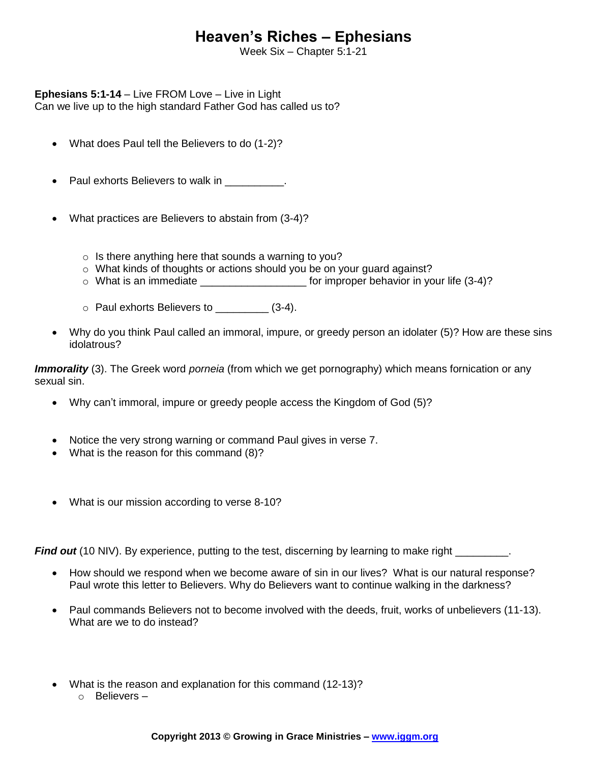## **Heaven's Riches – Ephesians**

Week Six – Chapter 5:1-21

**Ephesians 5:1-14** – Live FROM Love – Live in Light

Can we live up to the high standard Father God has called us to?

- What does Paul tell the Believers to do (1-2)?
- Paul exhorts Believers to walk in  $\qquad \qquad$ .
- What practices are Believers to abstain from (3-4)?
	- $\circ$  Is there anything here that sounds a warning to you?
	- o What kinds of thoughts or actions should you be on your guard against?
	- o What is an immediate \_\_\_\_\_\_\_\_\_\_\_\_\_\_\_\_\_\_ for improper behavior in your life (3-4)?
	- o Paul exhorts Believers to \_\_\_\_\_\_\_\_\_ (3-4).
- Why do you think Paul called an immoral, impure, or greedy person an idolater (5)? How are these sins idolatrous?

*Immorality* (3). The Greek word *porneia* (from which we get pornography) which means fornication or any sexual sin.

- Why can't immoral, impure or greedy people access the Kingdom of God (5)?
- Notice the very strong warning or command Paul gives in verse 7.
- What is the reason for this command (8)?
- What is our mission according to verse 8-10?

*Find out* (10 NIV). By experience, putting to the test, discerning by learning to make right \_\_\_\_\_\_\_\_\_.

- How should we respond when we become aware of sin in our lives? What is our natural response? Paul wrote this letter to Believers. Why do Believers want to continue walking in the darkness?
- Paul commands Believers not to become involved with the deeds, fruit, works of unbelievers (11-13). What are we to do instead?
- What is the reason and explanation for this command (12-13)?
	- o Believers –